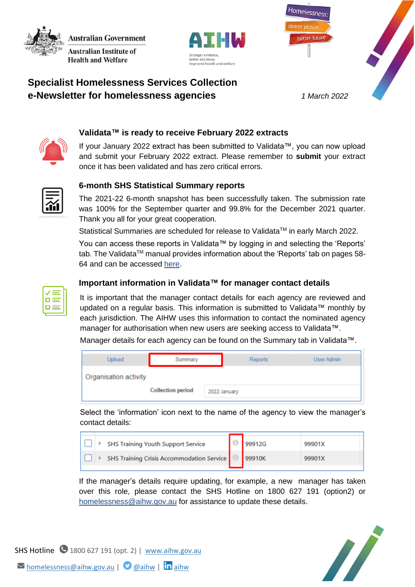**Australian Government Australian Institute of** 

**Health and Welfare** 





# **Specialist Homelessness Services Collection e-Newsletter for homelessness agencies** *1 March 2022*



# **Validata™ is ready to receive February 2022 extracts**

If your January 2022 extract has been submitted to Validata™, you can now upload and submit your February 2022 extract. Please remember to **submit** your extract once it has been validated and has zero critical errors.



### **6-month SHS Statistical Summary reports**

The 2021-22 6-month snapshot has been successfully taken. The submission rate was 100% for the September quarter and 99.8% for the December 2021 quarter. Thank you all for your great cooperation.

Statistical Summaries are scheduled for release to Validata™ in early March 2022.

You can access these reports in Validata™ by logging in and selecting the 'Reports' tab. The Validata<sup>TM</sup> manual provides information about the 'Reports' tab on pages 58-64 and can be accessed [here.](https://www.aihw.gov.au/getmedia/d5334a5a-31aa-42f1-91b1-7adc69755e8b/SHS_Validata_Manual_August_2018.pdf.aspx)



#### **Important information in Validata™ for manager contact details**

It is important that the manager contact details for each agency are reviewed and updated on a regular basis. This information is submitted to Validata™ monthly by each jurisdiction. The AIHW uses this information to contact the nominated agency manager for authorisation when new users are seeking access to Validata™.

Manager details for each agency can be found on the Summary tab in Validata™.

| Upload                | Summary                  |  | <b>Reports</b> |  | User Admin |  |  |
|-----------------------|--------------------------|--|----------------|--|------------|--|--|
| Organisation activity |                          |  |                |  |            |  |  |
|                       | <b>Collection period</b> |  | 2022 January   |  |            |  |  |

Select the 'information' icon next to the name of the agency to view the manager's contact details:

|  | SHS Training Youth Support Service        | 99912G | 99901X |
|--|-------------------------------------------|--------|--------|
|  | SHS Training Crisis Accommodation Service | 99910K | 99901X |
|  |                                           |        |        |

If the manager's details require updating, for example, a new manager has taken over this role, please contact the SHS Hotline on 1800 627 191 (option2) or [homelessness@aihw.gov.au](mailto:homelessness@aihw.gov.au) for assistance to update these details.



SHS Hotline 1800 627 191 (opt. 2) | [www.aihw.gov.au](http://www.aihw.gov.au/) M[homelessness@aihw.gov.au](mailto:homelessness@aihw.gov.au) | **@**[aihw](https://www.linkedin.com/company/australian-institute-of-health-and-welfare/) | **in** aihw